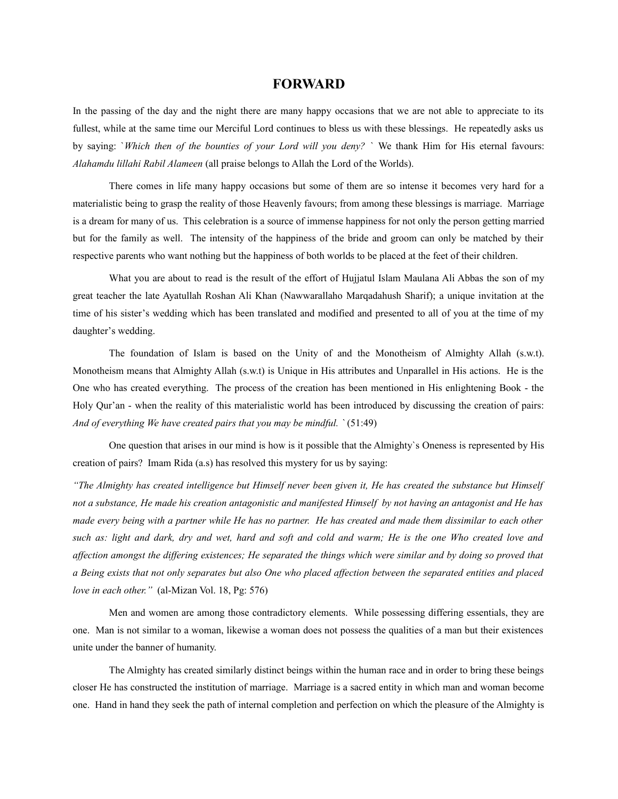# **FORWARD**

In the passing of the day and the night there are many happy occasions that we are not able to appreciate to its fullest, while at the same time our Merciful Lord continues to bless us with these blessings. He repeatedly asks us by saying: `*Which then of the bounties of your Lord will you deny?* ` We thank Him for His eternal favours: *Alahamdu lillahi Rabil Alameen* (all praise belongs to Allah the Lord of the Worlds).

There comes in life many happy occasions but some of them are so intense it becomes very hard for a materialistic being to grasp the reality of those Heavenly favours; from among these blessings is marriage. Marriage is a dream for many of us. This celebration is a source of immense happiness for not only the person getting married but for the family as well. The intensity of the happiness of the bride and groom can only be matched by their respective parents who want nothing but the happiness of both worlds to be placed at the feet of their children.

What you are about to read is the result of the effort of Hujjatul Islam Maulana Ali Abbas the son of my great teacher the late Ayatullah Roshan Ali Khan (Nawwarallaho Marqadahush Sharif); a unique invitation at the time of his sister's wedding which has been translated and modified and presented to all of you at the time of my daughter's wedding.

The foundation of Islam is based on the Unity of and the Monotheism of Almighty Allah (s.w.t). Monotheism means that Almighty Allah (s.w.t) is Unique in His attributes and Unparallel in His actions. He is the One who has created everything. The process of the creation has been mentioned in His enlightening Book - the Holy Qur'an - when the reality of this materialistic world has been introduced by discussing the creation of pairs: *And of everything We have created pairs that you may be mindful. `* (51:49)

One question that arises in our mind is how is it possible that the Almighty`s Oneness is represented by His creation of pairs? Imam Rida (a.s) has resolved this mystery for us by saying:

*"The Almighty has created intelligence but Himself never been given it, He has created the substance but Himself not a substance, He made his creation antagonistic and manifested Himself by not having an antagonist and He has made every being with a partner while He has no partner. He has created and made them dissimilar to each other such as: light and dark, dry and wet, hard and soft and cold and warm; He is the one Who created love and affection amongst the differing existences; He separated the things which were similar and by doing so proved that a Being exists that not only separates but also One who placed affection between the separated entities and placed love in each other."* (al-Mizan Vol. 18, Pg: 576)

Men and women are among those contradictory elements. While possessing differing essentials, they are one. Man is not similar to a woman, likewise a woman does not possess the qualities of a man but their existences unite under the banner of humanity.

The Almighty has created similarly distinct beings within the human race and in order to bring these beings closer He has constructed the institution of marriage. Marriage is a sacred entity in which man and woman become one. Hand in hand they seek the path of internal completion and perfection on which the pleasure of the Almighty is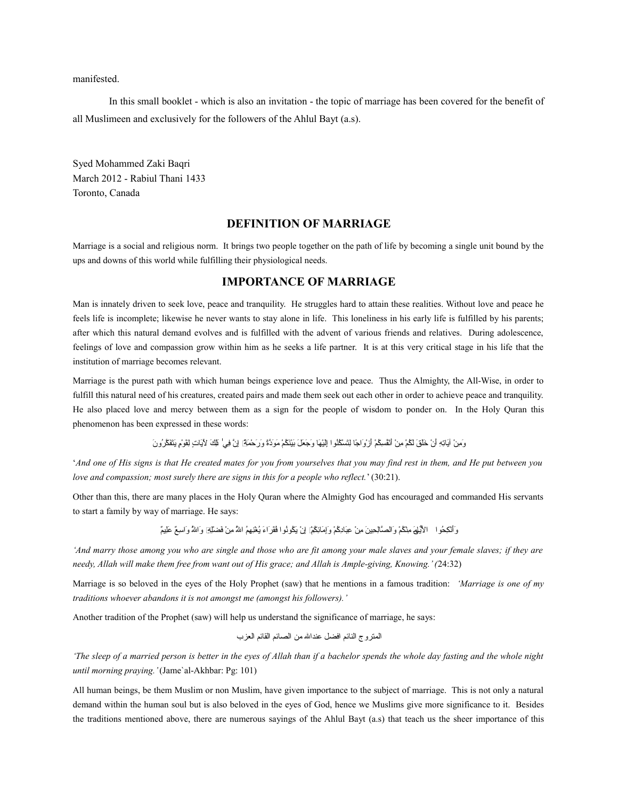manifested.

In this small booklet - which is also an invitation - the topic of marriage has been covered for the benefit of all Muslimeen and exclusively for the followers of the Ahlul Bayt (a.s).

Syed Mohammed Zaki Baqri March 2012 - Rabiul Thani 1433 Toronto, Canada

## **DEFINITION OF MARRIAGE**

Marriage is a social and religious norm. It brings two people together on the path of life by becoming a single unit bound by the ups and downs of this world while fulfilling their physiological needs.

# **IMPORTANCE OF MARRIAGE**

Man is innately driven to seek love, peace and tranquility. He struggles hard to attain these realities. Without love and peace he feels life is incomplete; likewise he never wants to stay alone in life. This loneliness in his early life is fulfilled by his parents; after which this natural demand evolves and is fulfilled with the advent of various friends and relatives. During adolescence, feelings of love and compassion grow within him as he seeks a life partner. It is at this very critical stage in his life that the institution of marriage becomes relevant.

Marriage is the purest path with which human beings experience love and peace. Thus the Almighty, the All-Wise, in order to fulfill this natural need of his creatures, created pairs and made them seek out each other in order to achieve peace and tranquility. He also placed love and mercy between them as a sign for the people of wisdom to ponder on. In the Holy Quran this phenomenon has been expressed in these words:

وَمِنْ آيَاتِهِ أَنْ خَلَقَ لَكُمْ مِنْ أَنْفُسِكُمْ أَرْوَاجًا لِتَسْكُثُوا إِلَيْهَا وَجَعَلَ بَيْنَكُمْ مَوَدَّةً وَرَحْمَاقًا إِنَّ فِي ٰ لَلِكَ لِأَيَاتٍ لِقَوْمٍ يَتَفَكَّرُونَ

'*And one of His signs is that He created mates for you from yourselves that you may find rest in them, and He put between you love and compassion; most surely there are signs in this for a people who reflect.*' (30:21).

Other than this, there are many places in the Holy Quran where the Almighty God has encouraged and commanded His servants to start a family by way of marriage. He says:

وَٱلْنَكِحُوا ﴾ الأَيُّلِمَ مِنْكُمْ وَالصَّالِحِينَ مِنْ عِبَادِكُمْ وَلِمَائِكُمْ إِنْ يَكُونُوا فَقَرَ اءَ يُغْنِهِمُ اللَّهُ مِنْ فَضلَلِح وَاللَّهُ وَاللَّهُ وَاللَّهُ وَاللَّهُ وَ

*'And marry those among you who are single and those who are fit among your male slaves and your female slaves; if they are needy, Allah will make them free from want out of His grace; and Allah is Ample-giving, Knowing.' (*24:32)

Marriage is so beloved in the eyes of the Holy Prophet (saw) that he mentions in a famous tradition: *'Marriage is one of my traditions whoever abandons it is not amongst me (amongst his followers).'*

Another tradition of the Prophet (saw) will help us understand the significance of marriage, he says:

جالمتروج جالنتائم جافضل عندجالل من جالصتائم جالقتائم جالعزب

*'The sleep of a married person is better in the eyes of Allah than if a bachelor spends the whole day fasting and the whole night until morning praying.'* (Jame`al-Akhbar: Pg: 101)

All human beings, be them Muslim or non Muslim, have given importance to the subject of marriage. This is not only a natural demand within the human soul but is also beloved in the eyes of God, hence we Muslims give more significance to it. Besides the traditions mentioned above, there are numerous sayings of the Ahlul Bayt (a.s) that teach us the sheer importance of this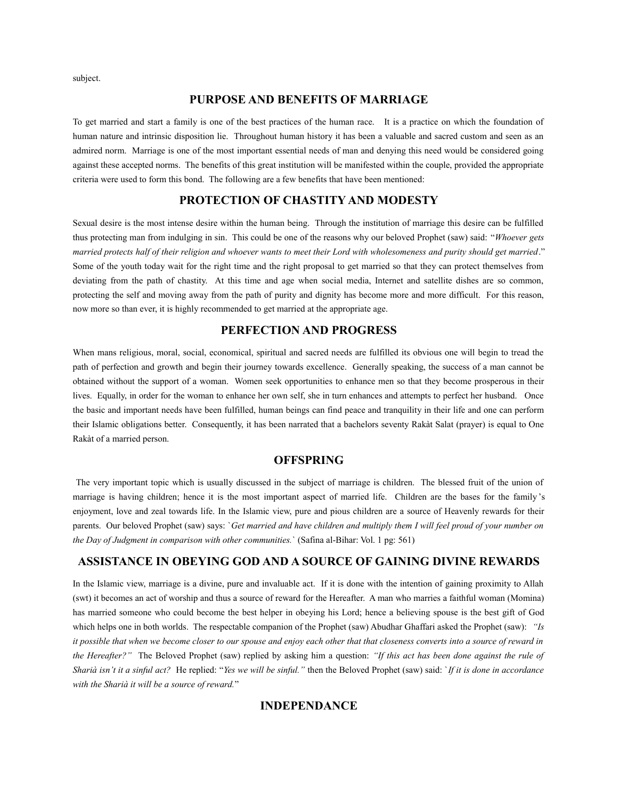subject.

## **PURPOSE AND BENEFITS OF MARRIAGE**

To get married and start a family is one of the best practices of the human race. It is a practice on which the foundation of human nature and intrinsic disposition lie. Throughout human history it has been a valuable and sacred custom and seen as an admired norm. Marriage is one of the most important essential needs of man and denying this need would be considered going against these accepted norms. The benefits of this great institution will be manifested within the couple, provided the appropriate criteria were used to form this bond. The following are a few benefits that have been mentioned:

# **PROTECTION OF CHASTITY AND MODESTY**

Sexual desire is the most intense desire within the human being. Through the institution of marriage this desire can be fulfilled thus protecting man from indulging in sin. This could be one of the reasons why our beloved Prophet (saw) said: "*Whoever gets married protects half of their religion and whoever wants to meet their Lord with wholesomeness and purity should get married*." Some of the youth today wait for the right time and the right proposal to get married so that they can protect themselves from deviating from the path of chastity. At this time and age when social media, Internet and satellite dishes are so common, protecting the self and moving away from the path of purity and dignity has become more and more difficult. For this reason, now more so than ever, it is highly recommended to get married at the appropriate age.

## **PERFECTION AND PROGRESS**

When mans religious, moral, social, economical, spiritual and sacred needs are fulfilled its obvious one will begin to tread the path of perfection and growth and begin their journey towards excellence. Generally speaking, the success of a man cannot be obtained without the support of a woman. Women seek opportunities to enhance men so that they become prosperous in their lives. Equally, in order for the woman to enhance her own self, she in turn enhances and attempts to perfect her husband. Once the basic and important needs have been fulfilled, human beings can find peace and tranquility in their life and one can perform their Islamic obligations better. Consequently, it has been narrated that a bachelors seventy Rakàt Salat (prayer) is equal to One Rakàt of a married person.

## **OFFSPRING**

The very important topic which is usually discussed in the subject of marriage is children. The blessed fruit of the union of marriage is having children; hence it is the most important aspect of married life. Children are the bases for the family 's enjoyment, love and zeal towards life. In the Islamic view, pure and pious children are a source of Heavenly rewards for their parents. Our beloved Prophet (saw) says: `*Get married and have children and multiply them I will feel proud of your number on the Day of Judgment in comparison with other communities.*` (Safina al-Bihar: Vol. 1 pg: 561)

# **ASSISTANCE IN OBEYING GOD AND A SOURCE OF GAINING DIVINE REWARDS**

In the Islamic view, marriage is a divine, pure and invaluable act. If it is done with the intention of gaining proximity to Allah (swt) it becomes an act of worship and thus a source of reward for the Hereafter. A man who marries a faithful woman (Momina) has married someone who could become the best helper in obeying his Lord; hence a believing spouse is the best gift of God which helps one in both worlds. The respectable companion of the Prophet (saw) Abudhar Ghaffari asked the Prophet (saw): *"Is it possible that when we become closer to our spouse and enjoy each other that that closeness converts into a source of reward in the Hereafter?"* The Beloved Prophet (saw) replied by asking him a question: *"If this act has been done against the rule of Sharià isn't it a sinful act?* He replied: "*Yes we will be sinful."* then the Beloved Prophet (saw) said: `*If it is done in accordance with the Sharià it will be a source of reward.*"

# **INDEPENDANCE**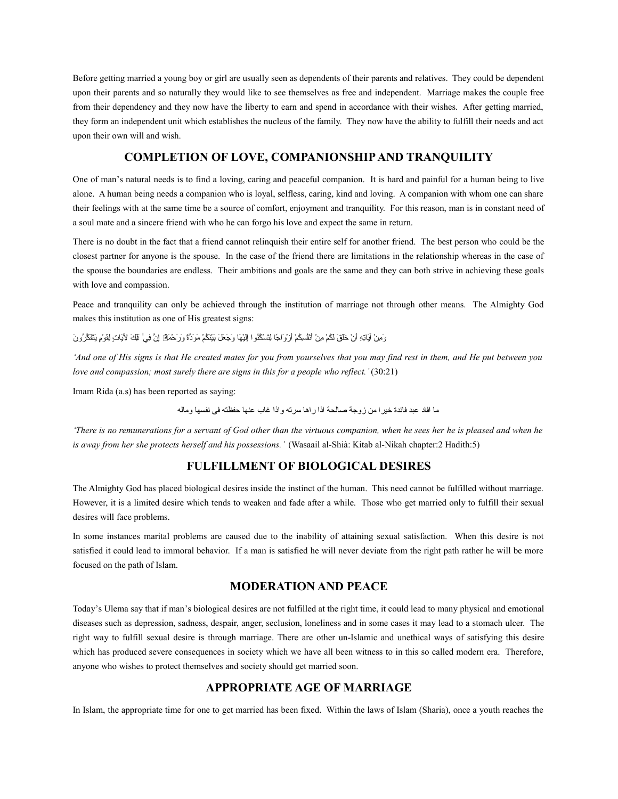Before getting married a young boy or girl are usually seen as dependents of their parents and relatives. They could be dependent upon their parents and so naturally they would like to see themselves as free and independent. Marriage makes the couple free from their dependency and they now have the liberty to earn and spend in accordance with their wishes. After getting married, they form an independent unit which establishes the nucleus of the family. They now have the ability to fulfill their needs and act upon their own will and wish.

# **COMPLETION OF LOVE, COMPANIONSHIP AND TRANQUILITY**

One of man's natural needs is to find a loving, caring and peaceful companion. It is hard and painful for a human being to live alone. A human being needs a companion who is loyal, selfless, caring, kind and loving. A companion with whom one can share their feelings with at the same time be a source of comfort, enjoyment and tranquility. For this reason, man is in constant need of a soul mate and a sincere friend with who he can forgo his love and expect the same in return.

There is no doubt in the fact that a friend cannot relinquish their entire self for another friend. The best person who could be the closest partner for anyone is the spouse. In the case of the friend there are limitations in the relationship whereas in the case of the spouse the boundaries are endless. Their ambitions and goals are the same and they can both strive in achieving these goals with love and compassion.

Peace and tranquility can only be achieved through the institution of marriage not through other means. The Almighty God makes this institution as one of His greatest signs:

وَمِنْ آيَاتِهِ أَنْ خَلَقَ لَكُمْ مِنْ أَنْفُسِكُمْ أَرْوَاجًا لِتَسْكُنُوا إِلَيْهَا وَجَعَلَ بَيْنَكُمْ مَوَدَّةً وَرَحْمَةً] إِنَّ فِي ظَكَ لِآيَاتٍ لِقَوْمٍ يَتَفَكَّرُونَ

*'And one of His signs is that He created mates for you from yourselves that you may find rest in them, and He put between you love and compassion; most surely there are signs in this for a people who reflect.'* (30:21)

Imam Rida (a.s) has been reported as saying:

ما افاد عبد فائدة خير ا من زوجة صالحة اذا ر اها سر ته و اذا غاب عنها حفظته فى نفسها وماله

*'There is no remunerations for a servant of God other than the virtuous companion, when he sees her he is pleased and when he is away from her she protects herself and his possessions.'* (Wasaail al-Shià: Kitab al-Nikah chapter:2 Hadith:5)

# **FULFILLMENT OF BIOLOGICAL DESIRES**

The Almighty God has placed biological desires inside the instinct of the human. This need cannot be fulfilled without marriage. However, it is a limited desire which tends to weaken and fade after a while. Those who get married only to fulfill their sexual desires will face problems.

In some instances marital problems are caused due to the inability of attaining sexual satisfaction. When this desire is not satisfied it could lead to immoral behavior. If a man is satisfied he will never deviate from the right path rather he will be more focused on the path of Islam.

## **MODERATION AND PEACE**

Today's Ulema say that if man's biological desires are not fulfilled at the right time, it could lead to many physical and emotional diseases such as depression, sadness, despair, anger, seclusion, loneliness and in some cases it may lead to a stomach ulcer. The right way to fulfill sexual desire is through marriage. There are other un-Islamic and unethical ways of satisfying this desire which has produced severe consequences in society which we have all been witness to in this so called modern era. Therefore, anyone who wishes to protect themselves and society should get married soon.

# **APPROPRIATE AGE OF MARRIAGE**

In Islam, the appropriate time for one to get married has been fixed. Within the laws of Islam (Sharia), once a youth reaches the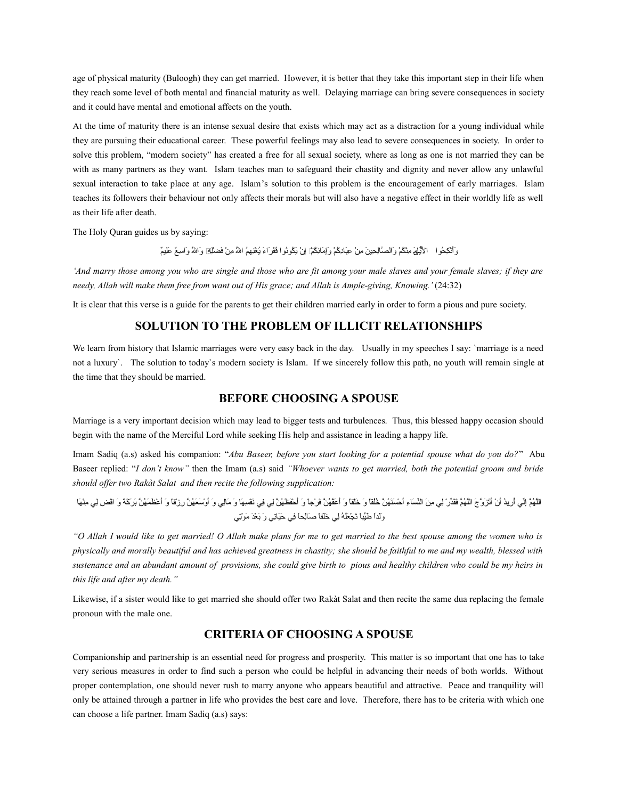age of physical maturity (Buloogh) they can get married. However, it is better that they take this important step in their life when they reach some level of both mental and financial maturity as well. Delaying marriage can bring severe consequences in society and it could have mental and emotional affects on the youth.

At the time of maturity there is an intense sexual desire that exists which may act as a distraction for a young individual while they are pursuing their educational career. These powerful feelings may also lead to severe consequences in society. In order to solve this problem, "modern society" has created a free for all sexual society, where as long as one is not married they can be with as many partners as they want. Islam teaches man to safeguard their chastity and dignity and never allow any unlawful sexual interaction to take place at any age. Islam's solution to this problem is the encouragement of early marriages. Islam teaches its followers their behaviour not only affects their morals but will also have a negative effect in their worldly life as well as their life after death.

The Holy Quran guides us by saying:

وَٱلْكِحُوا ﴾ الأَيُلِهَ مِنْكُمْ وَالصَّالِحِينَ مِنْ عِبَادِكُمْ وَإِمَانِكُمْ] إنْ يَكُونُوا فَقَرَاءَ يُغْنِهِمُ اللهُ مِنْ فَضلَلِهِ وَاللهُ وَاسِعٌ عَلِيمٌ

*'And marry those among you who are single and those who are fit among your male slaves and your female slaves; if they are needy, Allah will make them free from want out of His grace; and Allah is Ample-giving, Knowing.'* (24:32)

It is clear that this verse is a guide for the parents to get their children married early in order to form a pious and pure society.

## **SOLUTION TO THE PROBLEM OF ILLICIT RELATIONSHIPS**

We learn from history that Islamic marriages were very easy back in the day. Usually in my speeches I say: `marriage is a need not a luxury`. The solution to today`s modern society is Islam. If we sincerely follow this path, no youth will remain single at the time that they should be married.

## **BEFORE CHOOSING A SPOUSE**

Marriage is a very important decision which may lead to bigger tests and turbulences. Thus, this blessed happy occasion should begin with the name of the Merciful Lord while seeking His help and assistance in leading a happy life.

Imam Sadiq (a.s) asked his companion: "*Abu Baseer, before you start looking for a potential spouse what do you do?*" Abu Baseer replied: "*I don't know"* then the Imam (a.s) said *"Whoever wants to get married, both the potential groom and bride should offer two Rakàt Salat and then recite the following supplication:*

جالةَّل ْمُهةَّم ْنِإأ يّن ي ْمُأ ْنِريْمُد َأ آ ْن َأَت َز ةَّو َج جالةَّل ْمُه ةَّم َفَقأ يّد آ ْر ْنِل ي ْنِم َن جالأ يّن َستا ْنِء َأ آ ْح َسَن ْمُه ةَّن ْمُخْمُلقاًتا َو َخآ ْلقاًتا َو َأ َعةَّف ْمُه ةَّن َف آ ْرجاًتا َو َأ آ ْحَف َظ ْمُه ةَّن ْنِل ي ْنِف ي َنآ ْف ْنِس َهتا َو َمتاْنِل ي َو َأ آ ْو َس َع ْمُه ةَّن ْنِر آ ْزاقاًتا َو َأ آ ْع َظ َم ْمُه ةَّن َب َر َك اًة َو جاآ ْاق ْنِض ْنِل ي ْنِمآ ْن َهتا َوَلداًجا َطأ يّيباًتا َت آ ْج َعْمُل ْمُه ْنِل ي َخَلفاًتا َصتاْنِلحاًتا ْنِف ي َحَيتاْنِت ي َو َب آ ْع َد َم آ ْاوْنِت ي

*"O Allah I would like to get married! O Allah make plans for me to get married to the best spouse among the women who is physically and morally beautiful and has achieved greatness in chastity; she should be faithful to me and my wealth, blessed with sustenance and an abundant amount of provisions, she could give birth to pious and healthy children who could be my heirs in this life and after my death."*

Likewise, if a sister would like to get married she should offer two Rakàt Salat and then recite the same dua replacing the female pronoun with the male one.

# **CRITERIA OF CHOOSING A SPOUSE**

Companionship and partnership is an essential need for progress and prosperity. This matter is so important that one has to take very serious measures in order to find such a person who could be helpful in advancing their needs of both worlds. Without proper contemplation, one should never rush to marry anyone who appears beautiful and attractive. Peace and tranquility will only be attained through a partner in life who provides the best care and love. Therefore, there has to be criteria with which one can choose a life partner. Imam Sadiq (a.s) says: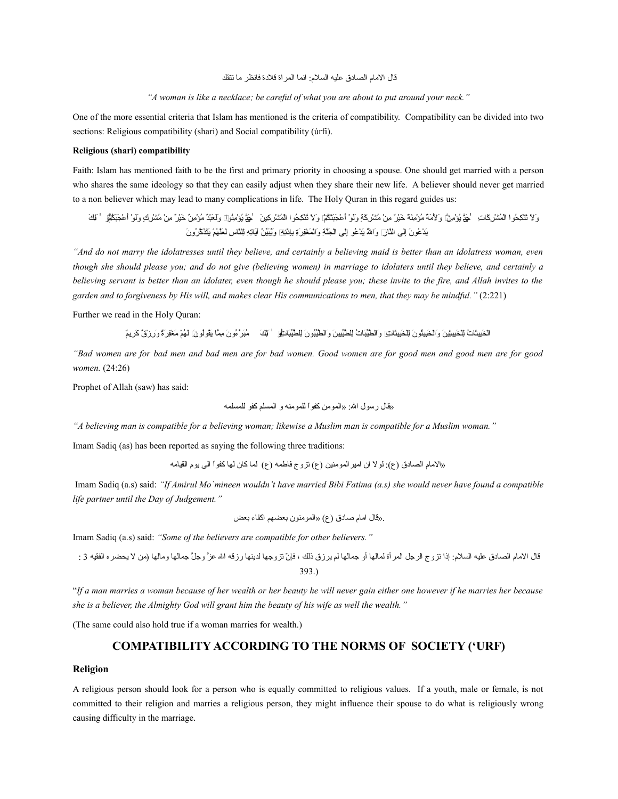قال الإمام الصادق عليه السلام: انما المر اة قلادة فانظر ما تتقلد

*"A woman is like a necklace; be careful of what you are about to put around your neck."*

One of the more essential criteria that Islam has mentioned is the criteria of compatibility. Compatibility can be divided into two sections: Religious compatibility (shari) and Social compatibility (ùrfi).

#### **Religious (shari) compatibility**

Faith: Islam has mentioned faith to be the first and primary priority in choosing a spouse. One should get married with a person who shares the same ideology so that they can easily adjust when they share their new life. A believer should never get married to a non believer which may lead to many complications in life. The Holy Quran in this regard guides us:

َو َل َتآ ْن ْنِك ْمُحاوجا جاآ ْل ْمُم آ ْش ْنِر َكتا ْنِت ٰ َحةَّتى ْمُي آ ْؤ ْنِم ةَّنۚ َو َل َم ع ٌة ْمُم آ ْؤ ْنِمَن ع ٌة َخآ ْي ع ٌر ْنِم آ ْن ْمُم آ ْش ْنِر َك ٍة َوَل آ ْاو َأ آ ْع َجَبآ ْت ْمُك آ ْمۚ َو َل ْمُتآ ْن ْنِك ْمُحاوجا جاآ ْل ْمُم آ ْش ْنِر ْنِكي َن ٰ َحةَّتى ْمُي آ ْؤ ْنِمْمُناوجاۚ َوَل َعآ ْبع ٌد ْمُم آ ْؤ ْنِم ع ٌن َخآ ْي ع ٌر ْنِم آ ْن ْمُم آ ْش ْنِر ٍك َوَل آ ْاو َأ آ ْع َجَب ْمُك آ ْمۚ ٰ ْمُأو َلْنِئ َك َي آ ْد ْمُعاو َن ْنِإَلى جالةَّنتا ْنِرۚ َوجا ْمُةَّلل َي آ ْد ْمُعاو ْنِإَلى جاآ ْل َجةَّن ْنِة َوجاآ ْل َم آ ْغْنِف َرْنِة ْنِبْنِإ آ ْذْنِن ْنِهۚ َوْمُيَبأ يّي ْمُن آَيتاْنِت ْنِه ْنِللةَّنتا ْنِس َل َعةَّل ْمُه آ ْم َيَت َذ ةَّك ْمُرو َن

*"And do not marry the idolatresses until they believe, and certainly a believing maid is better than an idolatress woman, even though she should please you; and do not give (believing women) in marriage to idolaters until they believe, and certainly a believing servant is better than an idolater, even though he should please you; these invite to the fire, and Allah invites to the garden and to forgiveness by His will, and makes clear His communications to men, that they may be mindful."* (2:221)

Further we read in the Holy Quran:

جاآ ْل َخْنِبيَثتا ْمُت ْنِلآ ْل َخْنِبيْنِثي َن َوجاآ ْل َخْنِبيْمُثاو َن ْنِلآ ْل َخْنِبيَثتا ْنِتۚ َوجال ةَّطأ يّيَبتا ْمُت ْنِلل ةَّطأ يّيْنِبي َن َوجال ةَّطأ يّيْمُباو َن ْنِلل ةَّطأ يّيَبتا ْنِتۚ ٰ ْمُأو َلْنِئ َك ْمُمَب ةَّر ْمُءو َن ْنِم ةَّمتا َيْمُقاوْمُلاو َنۚ َل ْمُه آ ْم َم آ ْغْنِف َرع ٌة َو ْنِر آ ْز ع ٌق َك ْنِريع ٌم

*"Bad women are for bad men and bad men are for bad women. Good women are for good men and good men are for good women.* (24:26)

Prophet of Allah (saw) has said:

«اقتال رساول جالل: «جالماومن کفاواًجا للماومنه و جالمسلم کفاو للمسلمه

*"A believing man is compatible for a believing woman; likewise a Muslim man is compatible for a Muslim woman."*

Imam Sadiq (as) has been reported as saying the following three traditions:

«جالمتام جالصتادق (ع): لاول جان جاميرجالماومنين (ع) تزوج فتاطمه (ع) لمتا کتان لهتا کفاواًجا جالی ياوم جالقيتامه

Imam Sadiq (a.s) said: *"If Amirul Mo`mineen wouldn't have married Bibi Fatima (a.s) she would never have found a compatible life partner until the Day of Judgement."*

.«اقتال جامتام صتادق (ع) «جالماومناون بعضهم جاکفتاء بعض

Imam Sadiq (a.s) said: *"Some of the believers are compatible for other believers."*

اقتال جالمتام جالصتادق عليه جالسلم: إذجا تزوج جالرجل جالمرأة لمتالهتا أو جمتالهتا لم يرزق ذلك ، فإ ّن تزوجهتا لدينهتا رزاقه جالل ع ةَّز وج ةَّل جمتالهتا ومتالهتا (من ل يحضره جالفقيه 3 : 393.)

"*If a man marries a woman because of her wealth or her beauty he will never gain either one however if he marries her because she is a believer, the Almighty God will grant him the beauty of his wife as well the wealth."*

(The same could also hold true if a woman marries for wealth.)

# **COMPATIBILITY ACCORDING TO THE NORMS OF SOCIETY ('URF)**

#### **Religion**

A religious person should look for a person who is equally committed to religious values. If a youth, male or female, is not committed to their religion and marries a religious person, they might influence their spouse to do what is religiously wrong causing difficulty in the marriage.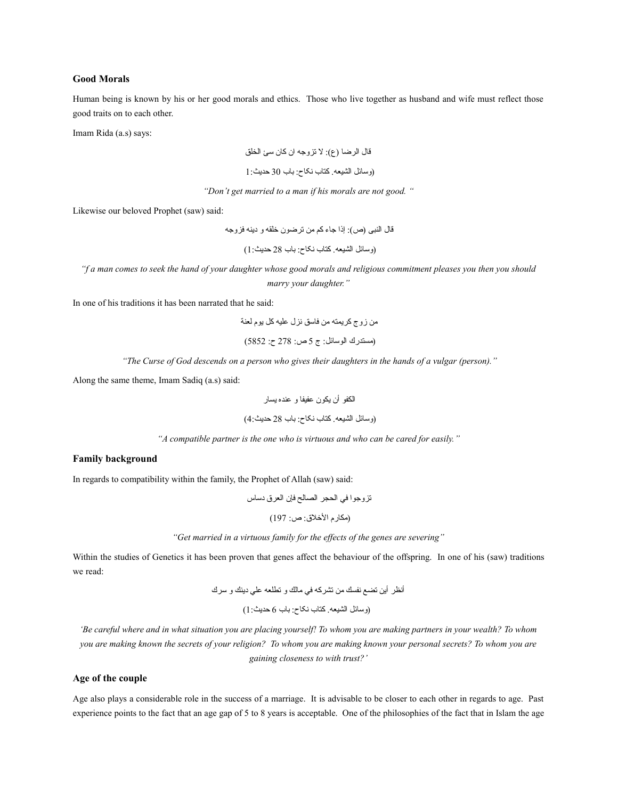#### **Good Morals**

Human being is known by his or her good morals and ethics. Those who live together as husband and wife must reflect those good traits on to each other.

Imam Rida (a.s) says:

اقتال جالرضتا (ع): ل تزوجه جان کتان سئ جالخلق (وستائل جالشيعه. کتتاب نکتاح: بتاب 30 حديث1:

*"Don't get married to a man if his morals are not good. "*

Likewise our beloved Prophet (saw) said:

اقتال جالنبی (ص): إذجا جتاء كم من ترضاون خلقه و دينه فزوجه (وستائل جالشيعه. کتتاب نکتاح: بتاب 28 حديث1:)

*"f a man comes to seek the hand of your daughter whose good morals and religious commitment pleases you then you should marry your daughter."*

In one of his traditions it has been narrated that he said:

من زوج كريمته من فتاسق نزل عليه كل ياوم لعنة

(مستدرك جالاوستائل: ج 5 ص: 278 ح: 5852)

*"The Curse of God descends on a person who gives their daughters in the hands of a vulgar (person)."*

Along the same theme, Imam Sadiq (a.s) said:

جالكفاو أن يكاون عفيفتا و عنده يستار

(وستائل جالشيعه. کتتاب نکتاح: بتاب 28 حديث4:)

*"A compatible partner is the one who is virtuous and who can be cared for easily."*

### **Family background**

In regards to compatibility within the family, the Prophet of Allah (saw) said:

تزوجوا في الحجر الصالح فإن العرق دساس (مكارم الأخلاق: ص: 197)

*"Get married in a virtuous family for the effects of the genes are severing"*

Within the studies of Genetics it has been proven that genes affect the behaviour of the offspring. In one of his (saw) traditions we read:

أنظر أين تضع نفسك من تشركه ف ي متالك و تطلعه عل ي دينك و سرك (وستائل جالشيعه. کتتاب نکتاح: بتاب 6 حديث1:)

*'Be careful where and in what situation you are placing yourself! To whom you are making partners in your wealth? To whom you are making known the secrets of your religion? To whom you are making known your personal secrets? To whom you are gaining closeness to with trust?'*

### **Age of the couple**

Age also plays a considerable role in the success of a marriage. It is advisable to be closer to each other in regards to age. Past experience points to the fact that an age gap of 5 to 8 years is acceptable. One of the philosophies of the fact that in Islam the age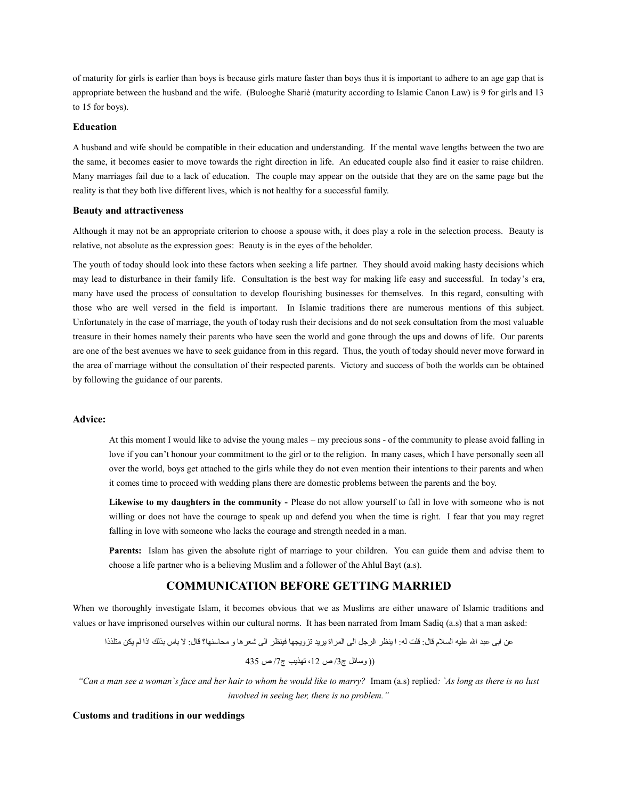of maturity for girls is earlier than boys is because girls mature faster than boys thus it is important to adhere to an age gap that is appropriate between the husband and the wife. (Bulooghe Shariè (maturity according to Islamic Canon Law) is 9 for girls and 13 to 15 for boys).

#### **Education**

A husband and wife should be compatible in their education and understanding. If the mental wave lengths between the two are the same, it becomes easier to move towards the right direction in life. An educated couple also find it easier to raise children. Many marriages fail due to a lack of education. The couple may appear on the outside that they are on the same page but the reality is that they both live different lives, which is not healthy for a successful family.

#### **Beauty and attractiveness**

Although it may not be an appropriate criterion to choose a spouse with, it does play a role in the selection process. Beauty is relative, not absolute as the expression goes: Beauty is in the eyes of the beholder.

The youth of today should look into these factors when seeking a life partner. They should avoid making hasty decisions which may lead to disturbance in their family life. Consultation is the best way for making life easy and successful. In today's era, many have used the process of consultation to develop flourishing businesses for themselves. In this regard, consulting with those who are well versed in the field is important. In Islamic traditions there are numerous mentions of this subject. Unfortunately in the case of marriage, the youth of today rush their decisions and do not seek consultation from the most valuable treasure in their homes namely their parents who have seen the world and gone through the ups and downs of life. Our parents are one of the best avenues we have to seek guidance from in this regard. Thus, the youth of today should never move forward in the area of marriage without the consultation of their respected parents. Victory and success of both the worlds can be obtained by following the guidance of our parents.

### **Advice:**

At this moment I would like to advise the young males – my precious sons - of the community to please avoid falling in love if you can't honour your commitment to the girl or to the religion. In many cases, which I have personally seen all over the world, boys get attached to the girls while they do not even mention their intentions to their parents and when it comes time to proceed with wedding plans there are domestic problems between the parents and the boy.

Likewise to my daughters in the community - Please do not allow yourself to fall in love with someone who is not willing or does not have the courage to speak up and defend you when the time is right. I fear that you may regret falling in love with someone who lacks the courage and strength needed in a man.

**Parents:** Islam has given the absolute right of marriage to your children. You can guide them and advise them to choose a life partner who is a believing Muslim and a follower of the Ahlul Bayt (a.s).

## **COMMUNICATION BEFORE GETTING MARRIED**

When we thoroughly investigate Islam, it becomes obvious that we as Muslims are either unaware of Islamic traditions and values or have imprisoned ourselves within our cultural norms. It has been narrated from Imam Sadiq (a.s) that a man asked:

عن جابى عبد جالل عليه جالسلم اقتال: اقلت له: جا ينظر جالرجل جالى جالمرجاة يريد تزويجهتا فينظر جالى شعرهتا و محتاسنهتا؟ اقتال: ل بتاس بذلك جاذجا لم يكن متلذذجا

 $(12 \, \text{m})$ ص 12، تهذيب ج7/ص 435

*"Can a man see a woman`s face and her hair to whom he would like to marry?* Imam (a.s) replied*: `As long as there is no lust involved in seeing her, there is no problem."*

**Customs and traditions in our weddings**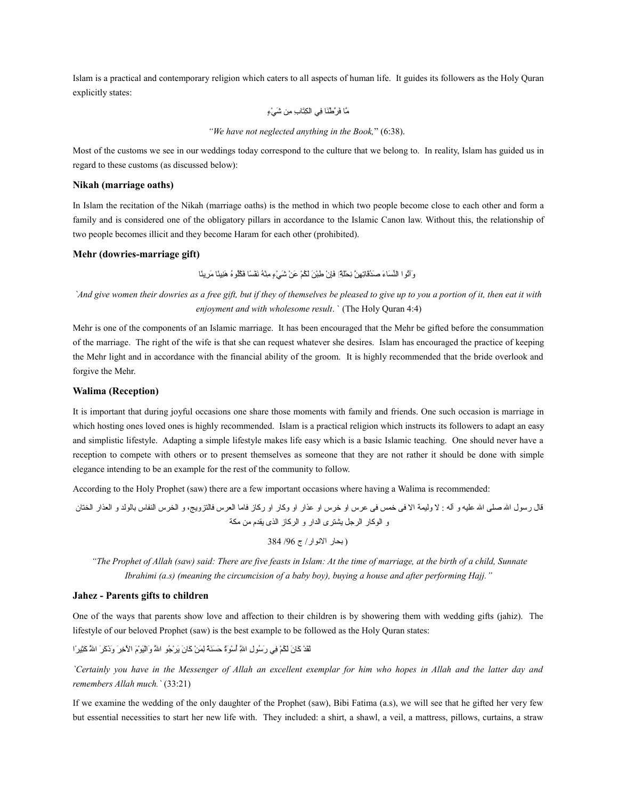Islam is a practical and contemporary religion which caters to all aspects of human life. It guides its followers as the Holy Quran explicitly states:

ةَّمتا َف ةَّر آ ْطَنتا ْنِف ي جال ْنِكَتتا ْنِب ْنِمن َش آ ْ ي ٍء

*"We have not neglected anything in the Book,*" (6:38).

Most of the customs we see in our weddings today correspond to the culture that we belong to. In reality, Islam has guided us in regard to these customs (as discussed below):

#### **Nikah (marriage oaths)**

In Islam the recitation of the Nikah (marriage oaths) is the method in which two people become close to each other and form a family and is considered one of the obligatory pillars in accordance to the Islamic Canon law. Without this, the relationship of two people becomes illicit and they become Haram for each other (prohibited).

#### **Mehr (dowries-marriage gift)**

وآلُّو ا النِّسَاءَ صِندُقَاتِهِنَّ نِجْلَةً] فَإِنْ طِيْنَ لَكُمْ عَنْ شَيْءٍ مِنْهُ نَفْسًا فَكْلُو هُ هَنِيئًا مَرِ بِئًا

*`And give women their dowries as a free gift, but if they of themselves be pleased to give up to you a portion of it, then eat it with enjoyment and with wholesome result*. ` (The Holy Quran 4:4)

Mehr is one of the components of an Islamic marriage. It has been encouraged that the Mehr be gifted before the consummation of the marriage. The right of the wife is that she can request whatever she desires. Islam has encouraged the practice of keeping the Mehr light and in accordance with the financial ability of the groom. It is highly recommended that the bride overlook and forgive the Mehr.

#### **Walima (Reception)**

It is important that during joyful occasions one share those moments with family and friends. One such occasion is marriage in which hosting ones loved ones is highly recommended. Islam is a practical religion which instructs its followers to adapt an easy and simplistic lifestyle. Adapting a simple lifestyle makes life easy which is a basic Islamic teaching. One should never have a reception to compete with others or to present themselves as someone that they are not rather it should be done with simple elegance intending to be an example for the rest of the community to follow.

According to the Holy Prophet (saw) there are a few important occasions where having a Walima is recommended:

اقتال رساول جالل صلى جالل عليه و آله : ل وليمة جال فى خمس فى عرس جاو خرس جاو عذجار جاو وكتار جاو ركتاز فتامتا جالعرس فتالتزويج، و جالخرس جالنفتاس بتالاولد و جالعذجار جالختتان و جالاوكتار جالرجل يشترى جالدجار و جالركتاز جالذى يقدم من مكة

( بحتار جالناوجار/ ج /96 384

 *"The Prophet of Allah (saw) said: There are five feasts in Islam: At the time of marriage, at the birth of a child, Sunnate Ibrahimi (a.s) (meaning the circumcision of a baby boy), buying a house and after performing Hajj."*

#### **Jahez - Parents gifts to children**

One of the ways that parents show love and affection to their children is by showering them with wedding gifts (jahiz). The lifestyle of our beloved Prophet (saw) is the best example to be followed as the Holy Quran states:

َلَق آ ْد َكتا َن َل ْمُك آ ْم ْنِف ي َر ْمُساو ْنِل جا ْنِةَّلل ْمُأ آ ْس َاوع ٌة َح َسَن ع ٌة ْنِل َم آ ْن َكتا َن َي آ ْر ْمُجاو جا َةَّلل َوجاآ ْلَي آ ْاو َم جا آ ْل ْنِخ َر َو َذ َك َر جا َةَّلل َكْنِثي اًرجا

*`Certainly you have in the Messenger of Allah an excellent exemplar for him who hopes in Allah and the latter day and remembers Allah much.`* (33:21)

If we examine the wedding of the only daughter of the Prophet (saw), Bibi Fatima (a.s), we will see that he gifted her very few but essential necessities to start her new life with. They included: a shirt, a shawl, a veil, a mattress, pillows, curtains, a straw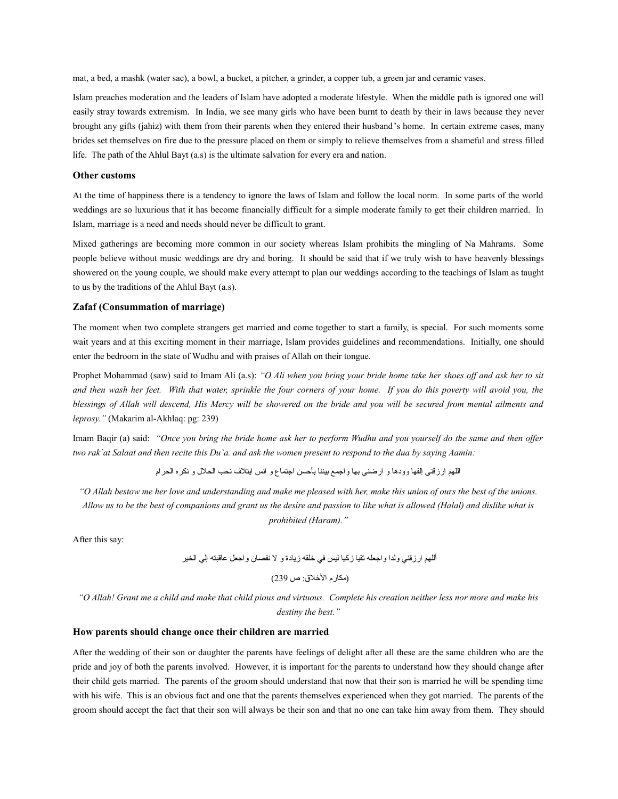mat, a bed, a mashk (water sac), a bowl, a bucket, a pitcher, a grinder, a copper tub, a green jar and ceramic vases.

Islam preaches moderation and the leaders of Islam have adopted a moderate lifestyle. When the middle path is ignored one will easily stray towards extremism. In India, we see many girls who have been burnt to death by their in laws because they never brought any gifts (jahiz) with them from their parents when they entered their husband's home. In certain extreme cases, many brides set themselves on fire due to the pressure placed on them or simply to relieve themselves from a shameful and stress filled life. The path of the Ahlul Bayt (a.s) is the ultimate salvation for every era and nation.

#### **Other customs**

At the time of happiness there is a tendency to ignore the laws of Islam and follow the local norm. In some parts of the world weddings are so luxurious that it has become financially difficult for a simple moderate family to get their children married. In Islam, marriage is a need and needs should never be difficult to grant.

Mixed gatherings are becoming more common in our society whereas Islam prohibits the mingling of Na Mahrams. Some people believe without music weddings are dry and boring. It should be said that if we truly wish to have heavenly blessings showered on the young couple, we should make every attempt to plan our weddings according to the teachings of Islam as taught to us by the traditions of the Ahlul Bayt (a.s).

### **Zafaf (Consummation of marriage)**

The moment when two complete strangers get married and come together to start a family, is special. For such moments some wait years and at this exciting moment in their marriage, Islam provides guidelines and recommendations. Initially, one should enter the bedroom in the state of Wudhu and with praises of Allah on their tongue.

Prophet Mohammad (saw) said to Imam Ali (a.s): *"O Ali when you bring your bride home take her shoes off and ask her to sit and then wash her feet. With that water, sprinkle the four corners of your home. If you do this poverty will avoid you, the blessings of Allah will descend, His Mercy will be showered on the bride and you will be secured from mental ailments and leprosy."* (Makarim al-Akhlaq: pg: 239)

Imam Baqir (a) said: *"Once you bring the bride home ask her to perform Wudhu and you yourself do the same and then offer two rak`at Salaat and then recite this Du`a. and ask the women present to respond to the dua by saying Aamin:*

جاللهم جارزاقنى ْنِجالفهتا وودهتا و جارضنى بهتا وجاجمع بيننتا بأحسن جاجتمتاع و جانس جايتل ف نحب جالحلل و نكره جالحرجام

*"O Allah bestow me her love and understanding and make me pleased with her, make this union of ours the best of the unions. Allow us to be the best of companions and grant us the desire and passion to like what is allowed (Halal) and dislike what is prohibited (Haram)."*

After this say:

أللهم جارزاقن ي ولدجا وجاجعله تقيتا زكيتا ليس ف ي خلقه زيتادة و ل نقصتان وجاجعل عتااقبته إل ي جالخير (مكتارم جالخلق: ص 239)

*"O Allah! Grant me a child and make that child pious and virtuous. Complete his creation neither less nor more and make his destiny the best."*

### **How parents should change once their children are married**

After the wedding of their son or daughter the parents have feelings of delight after all these are the same children who are the pride and joy of both the parents involved. However, it is important for the parents to understand how they should change after their child gets married. The parents of the groom should understand that now that their son is married he will be spending time with his wife. This is an obvious fact and one that the parents themselves experienced when they got married. The parents of the groom should accept the fact that their son will always be their son and that no one can take him away from them. They should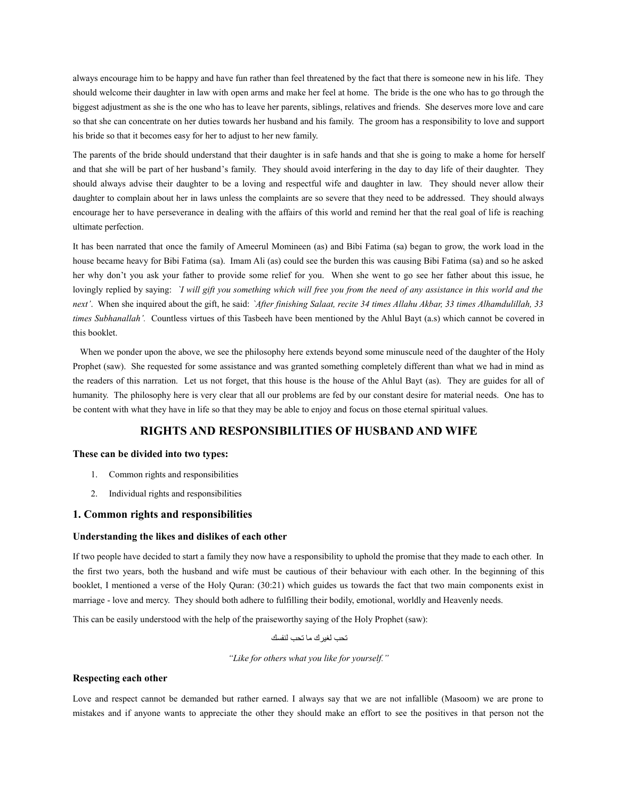always encourage him to be happy and have fun rather than feel threatened by the fact that there is someone new in his life. They should welcome their daughter in law with open arms and make her feel at home. The bride is the one who has to go through the biggest adjustment as she is the one who has to leave her parents, siblings, relatives and friends. She deserves more love and care so that she can concentrate on her duties towards her husband and his family. The groom has a responsibility to love and support his bride so that it becomes easy for her to adjust to her new family.

The parents of the bride should understand that their daughter is in safe hands and that she is going to make a home for herself and that she will be part of her husband's family. They should avoid interfering in the day to day life of their daughter. They should always advise their daughter to be a loving and respectful wife and daughter in law. They should never allow their daughter to complain about her in laws unless the complaints are so severe that they need to be addressed. They should always encourage her to have perseverance in dealing with the affairs of this world and remind her that the real goal of life is reaching ultimate perfection.

It has been narrated that once the family of Ameerul Momineen (as) and Bibi Fatima (sa) began to grow, the work load in the house became heavy for Bibi Fatima (sa). Imam Ali (as) could see the burden this was causing Bibi Fatima (sa) and so he asked her why don't you ask your father to provide some relief for you. When she went to go see her father about this issue, he lovingly replied by saying: *`I will gift you something which will free you from the need of any assistance in this world and the next'*. When she inquired about the gift, he said: *`After finishing Salaat, recite 34 times Allahu Akbar, 33 times Alhamdulillah, 33 times Subhanallah'.* Countless virtues of this Tasbeeh have been mentioned by the Ahlul Bayt (a.s) which cannot be covered in this booklet.

When we ponder upon the above, we see the philosophy here extends beyond some minuscule need of the daughter of the Holy Prophet (saw). She requested for some assistance and was granted something completely different than what we had in mind as the readers of this narration. Let us not forget, that this house is the house of the Ahlul Bayt (as). They are guides for all of humanity. The philosophy here is very clear that all our problems are fed by our constant desire for material needs. One has to be content with what they have in life so that they may be able to enjoy and focus on those eternal spiritual values.

# **RIGHTS AND RESPONSIBILITIES OF HUSBAND AND WIFE**

### **These can be divided into two types:**

- 1. Common rights and responsibilities
- 2. Individual rights and responsibilities

## **1. Common rights and responsibilities**

### **Understanding the likes and dislikes of each other**

If two people have decided to start a family they now have a responsibility to uphold the promise that they made to each other. In the first two years, both the husband and wife must be cautious of their behaviour with each other. In the beginning of this booklet, I mentioned a verse of the Holy Quran: (30:21) which guides us towards the fact that two main components exist in marriage - love and mercy. They should both adhere to fulfilling their bodily, emotional, worldly and Heavenly needs.

This can be easily understood with the help of the praiseworthy saying of the Holy Prophet (saw):

تحب لغبر ك ما تحب لنفسك

*"Like for others what you like for yourself."*

### **Respecting each other**

Love and respect cannot be demanded but rather earned. I always say that we are not infallible (Masoom) we are prone to mistakes and if anyone wants to appreciate the other they should make an effort to see the positives in that person not the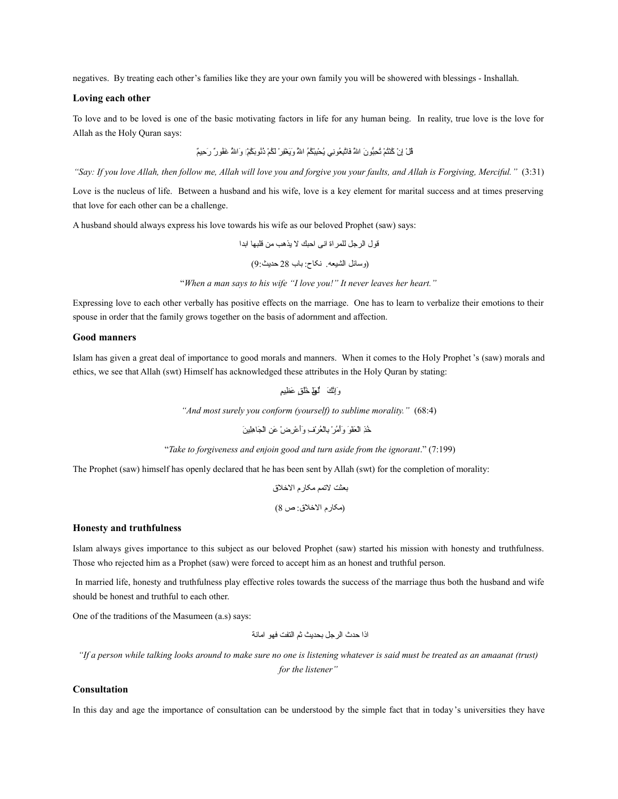negatives. By treating each other's families like they are your own family you will be showered with blessings - Inshallah.

### **Loving each other**

To love and to be loved is one of the basic motivating factors in life for any human being. In reality, true love is the love for Allah as the Holy Quran says:

ْمُاق آ ْل ْنِإ آ ْن ْمُكآ ْنْمُت آ ْم ْمُت ْنِحوُّباو َن جا َةَّلل َفتاةَّتْنِب ْمُعاوْنِن ي ْمُي آ ْحْنِبآ ْب ْمُكْمُم جا ْمُةَّلل َوَي آ ْغْنِف آ ْر َل ْمُك آ ْم ْمُذْمُناوَب ْمُك آ ْمۚ َوجا ْمُةَّلل َغْمُفاو ع ٌر َر ْنِحيع ٌم

*"Say: If you love Allah, then follow me, Allah will love you and forgive you your faults, and Allah is Forgiving, Merciful."* (3:31)

Love is the nucleus of life. Between a husband and his wife, love is a key element for marital success and at times preserving that love for each other can be a challenge.

A husband should always express his love towards his wife as our beloved Prophet (saw) says:

اقاول جالرجل للمرجاة جانى جاحبك ل يذهب من اقلبهتا جابدجا

(وستائل جالشيعه. نکتاح: بتاب 28 حديث9:)

"*When a man says to his wife "I love you!" It never leaves her heart."*

Expressing love to each other verbally has positive effects on the marriage. One has to learn to verbalize their emotions to their spouse in order that the family grows together on the basis of adornment and affection.

### **Good manners**

Islam has given a great deal of importance to good morals and manners. When it comes to the Holy Prophet 's (saw) morals and ethics, we see that Allah (swt) Himself has acknowledged these attributes in the Holy Quran by stating:

وَإِنَّكَ لَعِلْمِ خُلُق عَظِيمٍ

*"And most surely you conform (yourself) to sublime morality."* (68:4)

ْمُخْنِذ جاآ ْل َعآ ْف َاو َوآ ْأ ْمُم آ ْر ْنِبتاآ ْل ْمُع آ ْر ْنِ ف َوَأ آ ْع ْنِر آ ْض َع ْنِن جاآ ْل َجتا ْنِهْنِلي َن

"*Take to forgiveness and enjoin good and turn aside from the ignorant*." (7:199)

The Prophet (saw) himself has openly declared that he has been sent by Allah (swt) for the completion of morality:

بعثت لتمم مکتارم جالخلق (مکتارم جالخلق: ص 8)

#### **Honesty and truthfulness**

Islam always gives importance to this subject as our beloved Prophet (saw) started his mission with honesty and truthfulness. Those who rejected him as a Prophet (saw) were forced to accept him as an honest and truthful person.

In married life, honesty and truthfulness play effective roles towards the success of the marriage thus both the husband and wife should be honest and truthful to each other.

One of the traditions of the Masumeen (a.s) says:

جاذجا حدث جالرجل بحديث ثم جالتفت فهاو جامتانة

*"If a person while talking looks around to make sure no one is listening whatever is said must be treated as an amaanat (trust)*

*for the listener"*

## **Consultation**

In this day and age the importance of consultation can be understood by the simple fact that in today's universities they have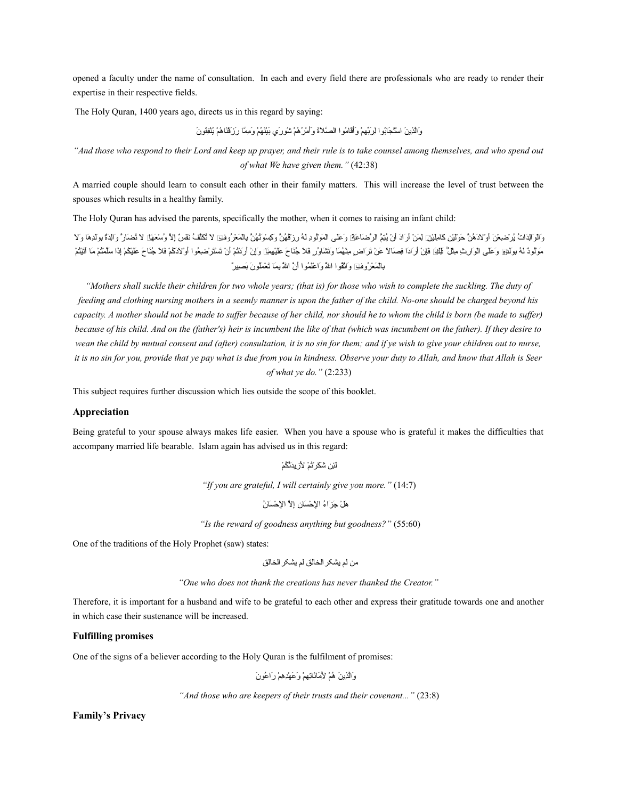opened a faculty under the name of consultation. In each and every field there are professionals who are ready to render their expertise in their respective fields.

The Holy Quran, 1400 years ago, directs us in this regard by saying:

وَالَّذِينَ اسْتَجَابُوا لِرَبَّهِمْ وَأَقَامُوا الصَّلاَةَ وَأَمْرُهُمْ شُورَي بَيْنَهُمْ وَمِمَّا رَزَقْنَاهُمْ يُنْفِقُونَ

*"And those who respond to their Lord and keep up prayer, and their rule is to take counsel among themselves, and who spend out of what We have given them."* (42:38)

A married couple should learn to consult each other in their family matters. This will increase the level of trust between the spouses which results in a healthy family.

The Holy Quran has advised the parents, specifically the mother, when it comes to raising an infant child:

وَالْوَالِدَاتُ بُرْ صْعِنْ أَوْ لِأَدَهُنَّ حَوَّلْيْنِ كَامِلْيْرِآ إِلَمَنْ أَرَ ادَ أَنْ بُيُعَ الرَّصَاعَة وَعَلَى الْمَوْلُودِ لِـهُ رز تَهُيُّ وَكَسْوَتُمْنُ وكَسْوَتُهُنَّ وَكَسْوَتُهُنَّ وَكَسْوَتُهُنَّ وَكَسْوَتُ مَرِلُودٌ لهُ بِوَلَدِيٓ وَعَلَى الوَارِثِ مِثْلٌ ظِلِّيَٓ فَإِنْ أَرَادَا فِصَالاً عَنْ ثَرَاض مِنْهُمَا وَتَشَاوُر فَلا جُنَاحَ عَلَيْهِيَآ وَإِنْ أَرَدَا فِصَالاً عَنْ ثَرَاض مِنْهُمَا وَتَشَاوُر فَلا جُنَاحَ عَلَيْهِي ْبِالْمَعْرُ وُفِي وَاتّْقُوا اللهُ وَاعْلَمُوا أَنَّ اللهُ بِمَا تَعْمَلُونَ بَصيرٌ

*"Mothers shall suckle their children for two whole years; (that is) for those who wish to complete the suckling. The duty of feeding and clothing nursing mothers in a seemly manner is upon the father of the child. No-one should be charged beyond his capacity. A mother should not be made to suffer because of her child, nor should he to whom the child is born (be made to suffer) because of his child. And on the (father's) heir is incumbent the like of that (which was incumbent on the father). If they desire to wean the child by mutual consent and (after) consultation, it is no sin for them; and if ye wish to give your children out to nurse, it is no sin for you, provide that ye pay what is due from you in kindness. Observe your duty to Allah, and know that Allah is Seer of what ye do."* (2:233)

This subject requires further discussion which lies outside the scope of this booklet.

#### **Appreciation**

Being grateful to your spouse always makes life easier. When you have a spouse who is grateful it makes the difficulties that accompany married life bearable. Islam again has advised us in this regard:

> لَّئِن شَكَر ِتْمْ لأَرْ يِدَنَّكُمْ *"If you are grateful, I will certainly give you more."* (14:7)

هَلْ جَزَّاءُ الإحْسَانِ إِلاَّ الإحْسَانِ

 *"Is the reward of goodness anything but goodness?"* (55:60)

One of the traditions of the Holy Prophet (saw) states:

من لم يشکرجالختالق لم يشکرجالختالق

*"One who does not thank the creations has never thanked the Creator."*

Therefore, it is important for a husband and wife to be grateful to each other and express their gratitude towards one and another in which case their sustenance will be increased.

#### **Fulfilling promises**

One of the signs of a believer according to the Holy Quran is the fulfilment of promises:

وَالَّذِينَ هُمْ لأَمَانَاتِهِمْ وَعَهْدِهِمْ رَاعُونَ

*"And those who are keepers of their trusts and their covenant..."* (23:8)

**Family's Privacy**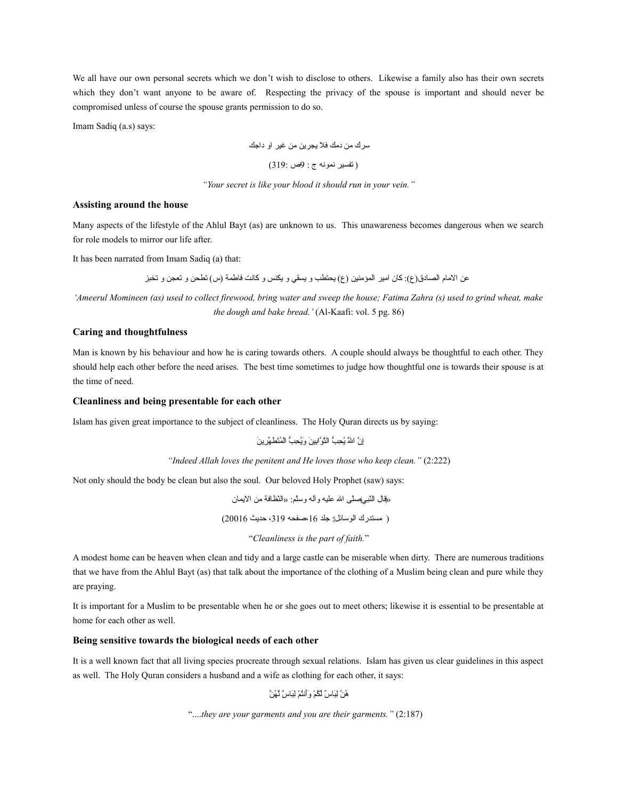We all have our own personal secrets which we don't wish to disclose to others. Likewise a family also has their own secrets which they don't want anyone to be aware of. Respecting the privacy of the spouse is important and should never be compromised unless of course the spouse grants permission to do so.

Imam Sadiq (a.s) says:

سرك من دمك فل يجرين من غير جاو دجاجك

( تفسير نماونه ج : 9ص 319:)

*"Your secret is like your blood it should run in your vein."*

## **Assisting around the house**

Many aspects of the lifestyle of the Ahlul Bayt (as) are unknown to us. This unawareness becomes dangerous when we search for role models to mirror our life after.

It has been narrated from Imam Sadiq (a) that:

عن الامام الصادق(ع): كان امير المؤمنين (ع) يحتطب و يسقي و يكنس و كانت فاطمة (س) تطحن و تعجن و تخبز

*'Ameerul Momineen (as) used to collect firewood, bring water and sweep the house; Fatima Zahra (s) used to grind wheat, make the dough and bake bread.'* (Al-Kaafi: vol. 5 pg. 86)

## **Caring and thoughtfulness**

Man is known by his behaviour and how he is caring towards others. A couple should always be thoughtful to each other. They should help each other before the need arises. The best time sometimes to judge how thoughtful one is towards their spouse is at the time of need.

#### **Cleanliness and being presentable for each other**

Islam has given great importance to the subject of cleanliness. The Holy Quran directs us by saying:

ْإِنَّ اللهَّ يُحِبُّ الثَّوَّابِينَ وَيُحِبُّ الْمُتَطَهِّرِينَ

*"Indeed Allah loves the penitent and He loves those who keep clean."* (2:222)

Not only should the body be clean but also the soul. Our beloved Holy Prophet (saw) says:

«اقتال جال ّنب يص ّلى جالل عليه وآله وس ّلم: «جال ّنظتافة من جاليمتان ( مستدرك جالاوستائل: جلد ،16صفحه ،319 حديث 20016) "*Cleanliness is the part of faith.*"

A modest home can be heaven when clean and tidy and a large castle can be miserable when dirty. There are numerous traditions that we have from the Ahlul Bayt (as) that talk about the importance of the clothing of a Muslim being clean and pure while they are praying.

It is important for a Muslim to be presentable when he or she goes out to meet others; likewise it is essential to be presentable at home for each other as well.

### **Being sensitive towards the biological needs of each other**

It is a well known fact that all living species procreate through sexual relations. Islam has given us clear guidelines in this aspect as well. The Holy Quran considers a husband and a wife as clothing for each other, it says:

هُنَّ لِبَاسٌ لَكُمْ وَأننُمْ لِبَاسٌ لَهُنَّ

```
"....they are your garments and you are their garments." (2:187)
```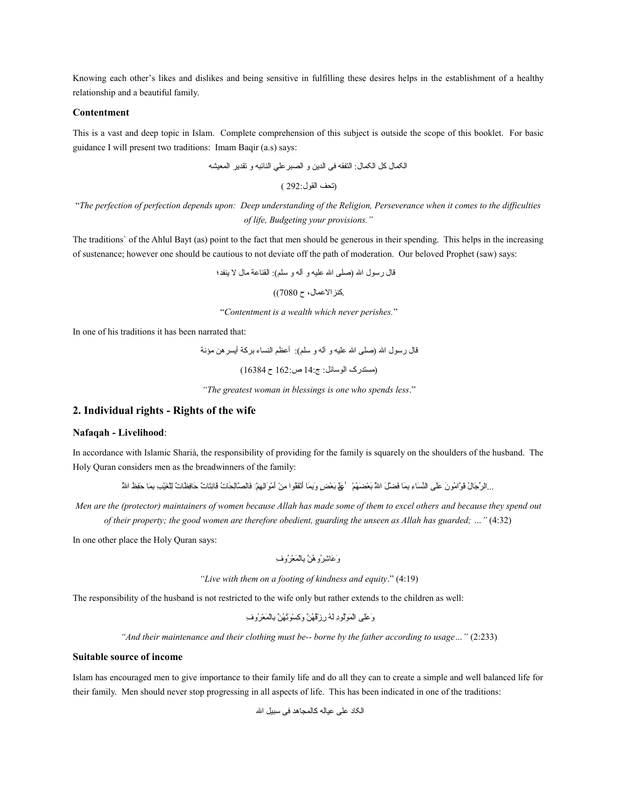Knowing each other's likes and dislikes and being sensitive in fulfilling these desires helps in the establishment of a healthy relationship and a beautiful family.

### **Contentment**

This is a vast and deep topic in Islam. Complete comprehension of this subject is outside the scope of this booklet. For basic guidance I will present two traditions: Imam Baqir (a.s) says:

جالکمتال کل جالکمتال: جالتفقه فی جالدين و جالصبرعل ي جالنتائبه و تقدير جالمعيشه

(تحف القول:292 )

"*The perfection of perfection depends upon: Deep understanding of the Religion, Perseverance when it comes to the difficulties of life, Budgeting your provisions."*

The traditions` of the Ahlul Bayt (as) point to the fact that men should be generous in their spending. This helps in the increasing of sustenance; however one should be cautious to not deviate off the path of moderation. Our beloved Prophet (saw) says:

اقتال رساول جالل (صلی جالل عليه و آله و سلم): جالقنتاعة متال ل ينفد؛

.کنز الاعمال، ح 7080))

"*Contentment is a wealth which never perishes.*"

In one of his traditions it has been narrated that:

اقتال رساول جالل (صلی جالل عليه و آله و سلم): أعظم جالنستاء بركة أيسرهن مؤنة (مستدرک جالاوستائل: ج14: ص162: ح 16384)

*"The greatest woman in blessings is one who spends less*."

## **2. Individual rights - Rights of the wife**

### **Nafaqah - Livelihood**:

In accordance with Islamic Sharià, the responsibility of providing for the family is squarely on the shoulders of the husband. The Holy Quran considers men as the breadwinners of the family:

.. الرِّجَالُ قَوَّامُونَ عَلَى النِّسَاءِ بِمَا فَضَلَّ اللهُ بَعْضَهُمْ ۚ عَلَّى بَعْضٍ وَبِمَا أَثْقَوْا مِنْ أمْوَالِهِمْ فَالصَّالِحَاتُ فَانِتَاتٌ حَافِظَاتٌ لِلْغَيْبِ بِمَا حَفِظ اللهُ

*Men are the (protector) maintainers of women because Allah has made some of them to excel others and because they spend out of their property; the good women are therefore obedient, guarding the unseen as Allah has guarded; …"* (4:32)

In one other place the Holy Quran says:

َو َعتا ْنِش ْمُرو ْمُه ةَّن ْنِبتاآ ْل َم آ ْع ْمُرو ْنِ ف

*"Live with them on a footing of kindness and equity*." (4:19)

The responsibility of the husband is not restricted to the wife only but rather extends to the children as well:

َو َعَلى جاآ ْل َم آ ْاوْمُلاو ْنِد َل ْمُه ْنِر آ ْزْمُاق ْمُه ةَّن َو ْنِك آ ْس َاوْمُت ْمُه ةَّن ْنِبتاآ ْل َم آ ْع ْمُرو ْنِ ف

*"And their maintenance and their clothing must be-- borne by the father according to usage…"* (2:233)

#### **Suitable source of income**

Islam has encouraged men to give importance to their family life and do all they can to create a simple and well balanced life for their family. Men should never stop progressing in all aspects of life. This has been indicated in one of the traditions:

جالکتاد علی عيتاله کتالمجتاهد فی سبيل جالل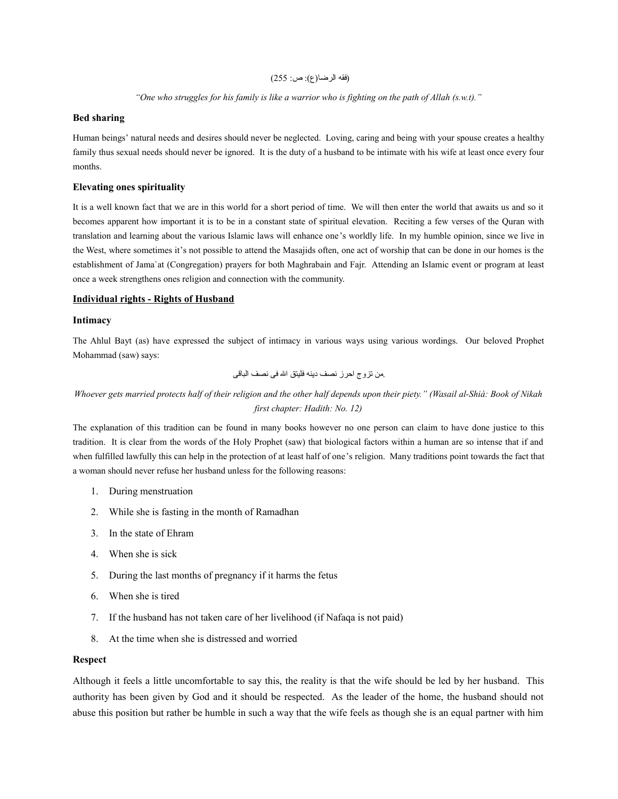## (فقه جالرضتا(ع): ص: 255)

### *"One who struggles for his family is like a warrior who is fighting on the path of Allah (s.w.t)."*

## **Bed sharing**

Human beings' natural needs and desires should never be neglected. Loving, caring and being with your spouse creates a healthy family thus sexual needs should never be ignored. It is the duty of a husband to be intimate with his wife at least once every four months.

## **Elevating ones spirituality**

It is a well known fact that we are in this world for a short period of time. We will then enter the world that awaits us and so it becomes apparent how important it is to be in a constant state of spiritual elevation. Reciting a few verses of the Quran with translation and learning about the various Islamic laws will enhance one's worldly life. In my humble opinion, since we live in the West, where sometimes it's not possible to attend the Masajids often, one act of worship that can be done in our homes is the establishment of Jama`at (Congregation) prayers for both Maghrabain and Fajr. Attending an Islamic event or program at least once a week strengthens ones religion and connection with the community.

## **Individual rights - Rights of Husband**

### **Intimacy**

The Ahlul Bayt (as) have expressed the subject of intimacy in various ways using various wordings. Our beloved Prophet Mohammad (saw) says:

.من تزوج جاحرز نصف دينه فليتق جالل فی نصف جالبتااقی

# *Whoever gets married protects half of their religion and the other half depends upon their piety." (Wasail al-Shià: Book of Nikah first chapter: Hadith: No. 12)*

The explanation of this tradition can be found in many books however no one person can claim to have done justice to this tradition. It is clear from the words of the Holy Prophet (saw) that biological factors within a human are so intense that if and when fulfilled lawfully this can help in the protection of at least half of one's religion. Many traditions point towards the fact that a woman should never refuse her husband unless for the following reasons:

- 1. During menstruation
- 2. While she is fasting in the month of Ramadhan
- 3. In the state of Ehram
- 4. When she is sick
- 5. During the last months of pregnancy if it harms the fetus
- 6. When she is tired
- 7. If the husband has not taken care of her livelihood (if Nafaqa is not paid)
- 8. At the time when she is distressed and worried

## **Respect**

Although it feels a little uncomfortable to say this, the reality is that the wife should be led by her husband. This authority has been given by God and it should be respected. As the leader of the home, the husband should not abuse this position but rather be humble in such a way that the wife feels as though she is an equal partner with him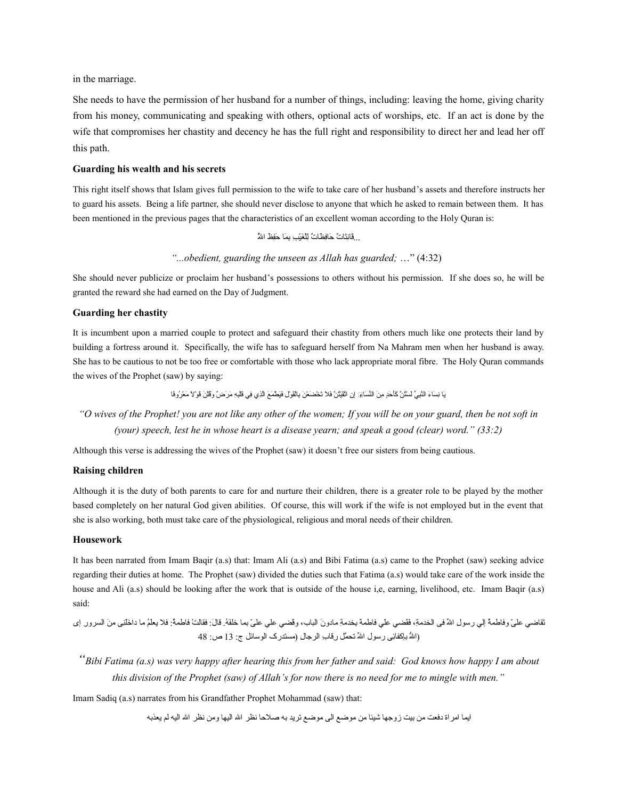in the marriage.

She needs to have the permission of her husband for a number of things, including: leaving the home, giving charity from his money, communicating and speaking with others, optional acts of worships, etc. If an act is done by the wife that compromises her chastity and decency he has the full right and responsibility to direct her and lead her off this path.

#### **Guarding his wealth and his secrets**

This right itself shows that Islam gives full permission to the wife to take care of her husband's assets and therefore instructs her to guard his assets. Being a life partner, she should never disclose to anyone that which he asked to remain between them. It has been mentioned in the previous pages that the characteristics of an excellent woman according to the Holy Quran is:

...قَانِتَاتٌ حَافِظَاتٌ لِلْغَيْبِ بِمَا حَفِظ اللهُّ

*"...obedient, guarding the unseen as Allah has guarded;* …" (4:32)

She should never publicize or proclaim her husband's possessions to others without his permission. If she does so, he will be granted the reward she had earned on the Day of Judgment.

#### **Guarding her chastity**

It is incumbent upon a married couple to protect and safeguard their chastity from others much like one protects their land by building a fortress around it. Specifically, the wife has to safeguard herself from Na Mahram men when her husband is away. She has to be cautious to not be too free or comfortable with those who lack appropriate moral fibre. The Holy Quran commands the wives of the Prophet (saw) by saying:

يَا نِسَاءَ النَّبِيِّ لَسْتُنَّ كَأَحَدٍ مِنَ النِّسَاءِ إِن اتَّقَيْتُنَّ فَلا تَخْضَعْنَ بِالْقَوْلِ فَيَطْمَعَ الَّذِي فِي قَلْدِهِ مَرَضْ وَقُلْنَ قَوْلاً مَعْرُوفًا

*"O wives of the Prophet! you are not like any other of the women; If you will be on your guard, then be not soft in (your) speech, lest he in whose heart is a disease yearn; and speak a good (clear) word." (33:2)*

Although this verse is addressing the wives of the Prophet (saw) it doesn't free our sisters from being cautious.

### **Raising children**

Although it is the duty of both parents to care for and nurture their children, there is a greater role to be played by the mother based completely on her natural God given abilities. Of course, this will work if the wife is not employed but in the event that she is also working, both must take care of the physiological, religious and moral needs of their children.

#### **Housework**

It has been narrated from Imam Baqir (a.s) that: Imam Ali (a.s) and Bibi Fatima (a.s) came to the Prophet (saw) seeking advice regarding their duties at home. The Prophet (saw) divided the duties such that Fatima (a.s) would take care of the work inside the house and Ali (a.s) should be looking after the work that is outside of the house i,e, earning, livelihood, etc. Imam Baqir (a.s) said:

تَقاضى علىّ وفاطمة إلى رسول الله في الخدمةِ، فقَضى على فاطمة بخدمةِ مادونَ الباب، وقضي على علىّ بما خلفهُ قالَ: فقالتْ فاطمةُ: فلا بعلمُ ما داخلني منَ السرور إي (اللهُ بإكفائِي رسول اللهِّ تحمَّل رقاب الرجال (مستدرک الوسائل ج: 13 ص: 48

*"Bibi Fatima (a.s) was very happy after hearing this from her father and said: God knows how happy I am about this division of the Prophet (saw) of Allah's for now there is no need for me to mingle with men."*

Imam Sadiq (a.s) narrates from his Grandfather Prophet Mohammad (saw) that:

ايما امر اة دفعت من بيت زوجها شيئا من موضع الی موضع تريد به صلاحا نظر الله اليها ومن نظر الله اليه لم يعذبه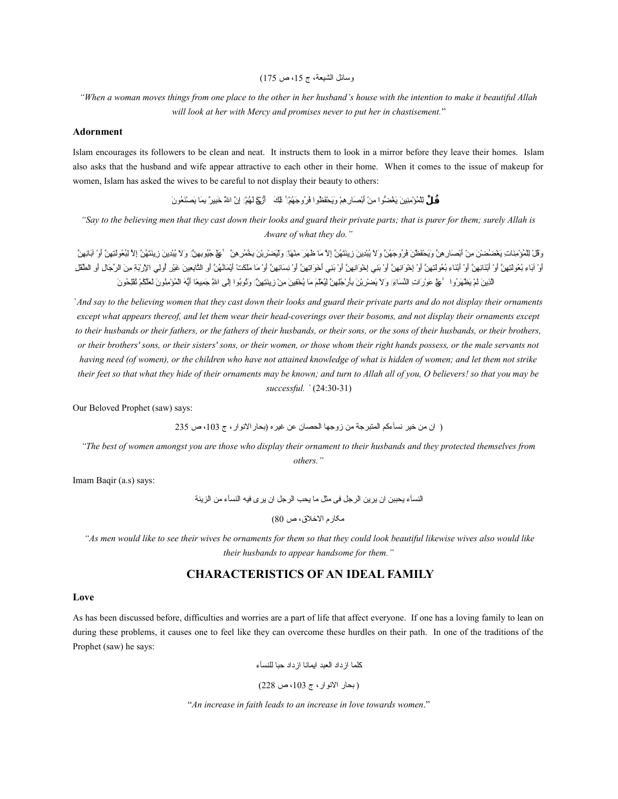وسائل الشيعة، ج 15، ص 175)

*"When a woman moves things from one place to the other in her husband's house with the intention to make it beautiful Allah will look at her with Mercy and promises never to put her in chastisement.*"

#### **Adornment**

Islam encourages its followers to be clean and neat. It instructs them to look in a mirror before they leave their homes. Islam also asks that the husband and wife appear attractive to each other in their home. When it comes to the issue of makeup for women, Islam has asked the wives to be careful to not display their beauty to others:

**قُـالْ لِلْ**مُؤْمِنِينَ يَغْضِبُو ا مِنْ أَبْصَارِ هِمْ وَيَحْقَظُو ا فُر وُجَهُمْ ۚ ظَكَ ﴾ أَرْجَعَ لهُمْ إِنَّ اللهُ خَبِير ٌ بِمَا بَصنْعُو نَ

*"Say to the believing men that they cast down their looks and guard their private parts; that is purer for them; surely Allah is Aware of what they do."*

وقُلْ لِلْمُوْمِنَاتِ يَعْصُصْنَ مِنْ أَنْصَارِ هِنْ وَيَحْقَطْنَ فَرُوجَهُنَّ وَلا يُنْدِينَ زِينَتَهُنَّ إِلاّ مَا ظَهَرَ مِذْهَبَا إِلاّ مَا ظَهَرَ فَرَاء الْمَرَ مِنْ أَوْلَ لِلْجُونَ زِينَتَهُنَّ إِلاّ لِمَعْ الْمَرَى أَوْ آبَاءِ بُعُولتِهِنَّ أَوْ أَبْنَاءِ بُعُولتِهِنَّ أَوْ لِجَوَانِهِنَّ أَوْ بَنِي لِخُوانِهِنَّ أَو بُنِي لِخُوانِهِنَّ أَوْ بَنِي لِخُوانِهِنَّ أَوْ بُنِي لِخُوانِهِنَّ أَوْ بَنِي لِخُوانِهِنَّ أَوْ بَنِي لِخُوانِهِنَ الَّذِينَ لَمْ يَطْهَرُوا ۚ عَمْ عَوْرَاتِ النِّسَايَمِ وَلاَ يَصْرُ بِنَ بِأَرْ جُلِهِنَّ لِيُعْلَمَ مَا يُحْفِينَ مِنْ زِينَتِهِينَ إِنَّ يُغِيرُونَ لِعَلَمَ لِمَقْدِمَ مَا يُحْفِينَ لِيُعْلَمَ مَا يُحْفِينَ مِنْ زِينَتِ

`*And say to the believing women that they cast down their looks and guard their private parts and do not display their ornaments except what appears thereof, and let them wear their head-coverings over their bosoms, and not display their ornaments except to their husbands or their fathers, or the fathers of their husbands, or their sons, or the sons of their husbands, or their brothers, or their brothers' sons, or their sisters' sons, or their women, or those whom their right hands possess, or the male servants not having need (of women), or the children who have not attained knowledge of what is hidden of women; and let them not strike their feet so that what they hide of their ornaments may be known; and turn to Allah all of you, O believers! so that you may be successful. `* (24:30-31)

Our Beloved Prophet (saw) says:

( إن من خير نسآءكم المتبرجة من زوجها الحصان عن غيره (بحار الانوار ، ج 103، ص 235

*"The best of women amongst you are those who display their ornament to their husbands and they protected themselves from others."*

Imam Baqir (a.s) says:

جالنسآء يحببن جان يرين جالرجل فی مثل متا يحب جالرجل جان يری فيه جالنسآء من جالزينة

مکار م الاخلاق، ص 80)

*"As men would like to see their wives be ornaments for them so that they could look beautiful likewise wives also would like their husbands to appear handsome for them."*

# **CHARACTERISTICS OF AN IDEAL FAMILY**

#### **Love**

As has been discussed before, difficulties and worries are a part of life that affect everyone. If one has a loving family to lean on during these problems, it causes one to feel like they can overcome these hurdles on their path. In one of the traditions of the Prophet (saw) he says:

كلما ازداد العبد ايمانا ازداد حبا للنسآء

(بحار الانوار، ج 103، ص 228)

"*An increase in faith leads to an increase in love towards women*."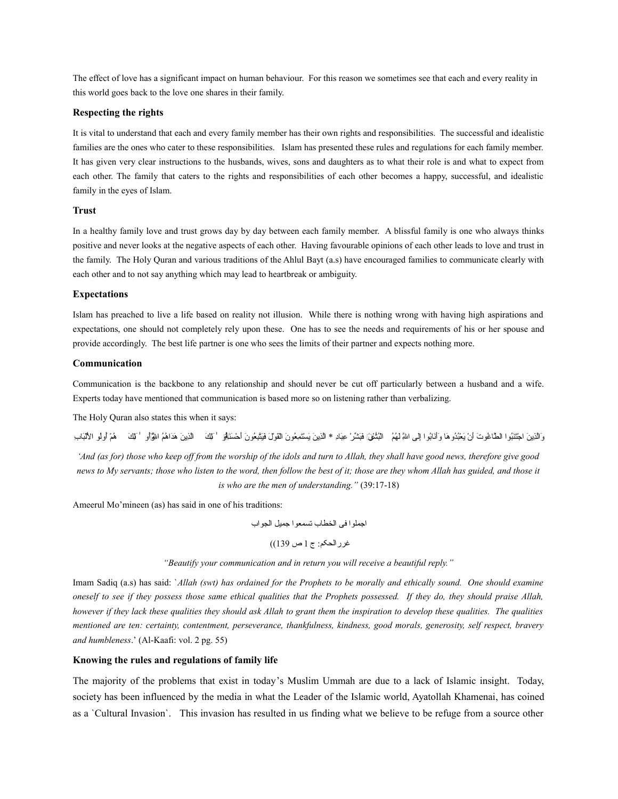The effect of love has a significant impact on human behaviour. For this reason we sometimes see that each and every reality in this world goes back to the love one shares in their family.

### **Respecting the rights**

It is vital to understand that each and every family member has their own rights and responsibilities. The successful and idealistic families are the ones who cater to these responsibilities. Islam has presented these rules and regulations for each family member. It has given very clear instructions to the husbands, wives, sons and daughters as to what their role is and what to expect from each other. The family that caters to the rights and responsibilities of each other becomes a happy, successful, and idealistic family in the eyes of Islam.

### **Trust**

In a healthy family love and trust grows day by day between each family member. A blissful family is one who always thinks positive and never looks at the negative aspects of each other. Having favourable opinions of each other leads to love and trust in the family. The Holy Quran and various traditions of the Ahlul Bayt (a.s) have encouraged families to communicate clearly with each other and to not say anything which may lead to heartbreak or ambiguity.

### **Expectations**

Islam has preached to live a life based on reality not illusion. While there is nothing wrong with having high aspirations and expectations, one should not completely rely upon these. One has to see the needs and requirements of his or her spouse and provide accordingly. The best life partner is one who sees the limits of their partner and expects nothing more.

#### **Communication**

Communication is the backbone to any relationship and should never be cut off particularly between a husband and a wife. Experts today have mentioned that communication is based more so on listening rather than verbalizing.

The Holy Quran also states this when it says:

وَالَّذِينَ اجْتَنُوا الطَّاغُوتَ أنْ يَعْبُدُوهَا وَأَنَابُوا إلى اللهِ لَهُمُ النُشْقَ)َ فَبَشَرْ عِبَادِ \* الَّذِينَ يَسْتَمِعُونَ القُولَ فَيَتَبِعُونَ احْسَنَاهِي ۖ النَّحْلَ عَبَدَرٌ عِبَادِ \* الَّذِينَ يَسْتَمِعُونَ

*'And (as for) those who keep off from the worship of the idols and turn to Allah, they shall have good news, therefore give good news to My servants; those who listen to the word, then follow the best of it; those are they whom Allah has guided, and those it is who are the men of understanding."* (39:17-18)

Ameerul Mo'mineen (as) has said in one of his traditions:

جاجملاوجا فى جالخطتاب تسمعاوجا جميل جالجاوجاب

غررجالحکم: ج 1 ص 139))

*"Beautify your communication and in return you will receive a beautiful reply."*

Imam Sadiq (a.s) has said: `*Allah (swt) has ordained for the Prophets to be morally and ethically sound. One should examine oneself to see if they possess those same ethical qualities that the Prophets possessed. If they do, they should praise Allah, however if they lack these qualities they should ask Allah to grant them the inspiration to develop these qualities. The qualities mentioned are ten: certainty, contentment, perseverance, thankfulness, kindness, good morals, generosity, self respect, bravery and humbleness*.' (Al-Kaafi: vol. 2 pg. 55)

### **Knowing the rules and regulations of family life**

The majority of the problems that exist in today's Muslim Ummah are due to a lack of Islamic insight. Today, society has been influenced by the media in what the Leader of the Islamic world, Ayatollah Khamenai, has coined as a `Cultural Invasion`. This invasion has resulted in us finding what we believe to be refuge from a source other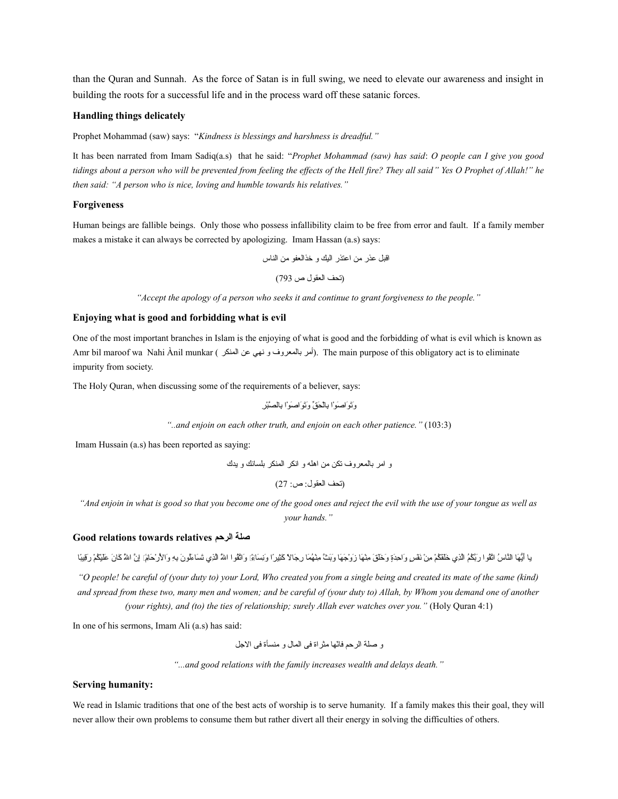than the Quran and Sunnah. As the force of Satan is in full swing, we need to elevate our awareness and insight in building the roots for a successful life and in the process ward off these satanic forces.

## **Handling things delicately**

Prophet Mohammad (saw) says: "*Kindness is blessings and harshness is dreadful."*

It has been narrated from Imam Sadiq(a.s) that he said: "*Prophet Mohammad (saw) has said*: *O people can I give you good tidings about a person who will be prevented from feeling the effects of the Hell fire? They all said" Yes O Prophet of Allah!" he then said: "A person who is nice, loving and humble towards his relatives."*

### **Forgiveness**

Human beings are fallible beings. Only those who possess infallibility claim to be free from error and fault. If a family member makes a mistake it can always be corrected by apologizing. Imam Hassan (a.s) says:

جااقبل عذر من جاعتذر جاليك و خذجالعفاو من جالنتاس

(تحف جالعقاول ص 793)

*"Accept the apology of a person who seeks it and continue to grant forgiveness to the people."*

## **Enjoying what is good and forbidding what is evil**

One of the most important branches in Islam is the enjoying of what is good and the forbidding of what is evil which is known as Amr bil maroof wa Nahi Ànil munkar (أمر بالمعروف و نهى عن المنكر). The main purpose of this obligatory act is to eliminate impurity from society.

The Holy Quran, when discussing some of the requirements of a believer, says:

َوَت َاوجا َص آ ْاوجا ْنِبتاآ ْل َح أ يّق َوَت َاوجا َص آ ْاوجا ْنِبتال ةَّصآ ْب ْنِر

*"..and enjoin on each other truth, and enjoin on each other patience."* (103:3)

Imam Hussain (a.s) has been reported as saying:

و جامر بتالمعرو ف تكن من جاهله و جانكر جالمنكر بلستانك و يدك

(تحف جالعقاول: ص: 27)

*"And enjoin in what is good so that you become one of the good ones and reject the evil with the use of your tongue as well as your hands."*

## **Good relations towards relatives الرحم صلة**

يا أَيُّهَا النَّاسُ اتَّقُوا رَبَّكُم الْذِي خَلقَكُمْ مِنْ نَفْسٍ وَاحِدَةٍ وَخَلقَ مِنْهَا زَوْجَهَا وَبَثَ مِثْهَما رِجَاةٍ وَخَلقَ مِثْهَا زَوْجَهَا وَبَثَ مِثْهِما رَبَّكُمْ وَجَلقَ مِثْهَا زَوْجَهَا وَبَثَ مِثْهِمَا

*"O people! be careful of (your duty to) your Lord, Who created you from a single being and created its mate of the same (kind) and spread from these two, many men and women; and be careful of (your duty to) Allah, by Whom you demand one of another (your rights), and (to) the ties of relationship; surely Allah ever watches over you."* (Holy Quran 4:1)

In one of his sermons, Imam Ali (a.s) has said:

و صلة الرحم فاتّها مثر اة فى المال و منسأة فى الاجل

*"...and good relations with the family increases wealth and delays death."*

### **Serving humanity:**

We read in Islamic traditions that one of the best acts of worship is to serve humanity. If a family makes this their goal, they will never allow their own problems to consume them but rather divert all their energy in solving the difficulties of others.